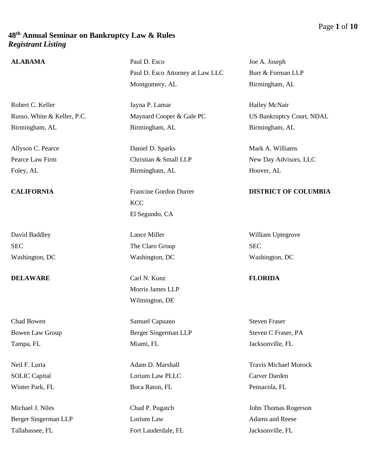## **ALABAMA** Paul D. Esco

Robert C. Keller Russo, White & Keller, P.C. Birmingham, AL

Allyson C. Pearce Pearce Law Firm Foley, AL

David Baddley **SEC** Washington, DC

**DELAWARE** Carl N. Kunz

Chad Bowen Bowen Law Group Tampa, FL

Neil F. Luria SOLIC Capital Winter Park, FL

Michael J. Niles Berger Singerman LLP Tallahassee, FL

Paul D. Esco Attorney at Law LLC Montgomery, AL

Jayna P. Lamar Maynard Cooper & Gale PC Birmingham, AL

Daniel D. Sparks Christian & Small LLP Birmingham, AL

**CALIFORNIA** Francine Gordon Durrer **KCC** El Segundo, CA

> Lance Miller The Claro Group Washington, DC

Morris James LLP Wilmington, DE

Samuel Capuano Berger Singerman LLP Miami, FL

Adam D. Marshall Lorium Law PLLC Boca Raton, FL

Chad P. Pugatch Lorium Law Fort Lauderdale, FL Joe A. Joseph Burr & Forman LLP Birmingham, AL

Hailey McNair US Bankruptcy Court, NDAL Birmingham, AL

Mark A. Williams New Day Advisors, LLC Hoover, AL

## **DISTRICT OF COLUMBIA**

William Uptegrove SEC Washington, DC

## **FLORIDA**

Steven Fraser Steven C Fraser, PA Jacksonville, FL

Travis Michael Morock Carver Darden Pensacola, FL

John Thomas Rogerson Adams and Reese Jacksonville, FL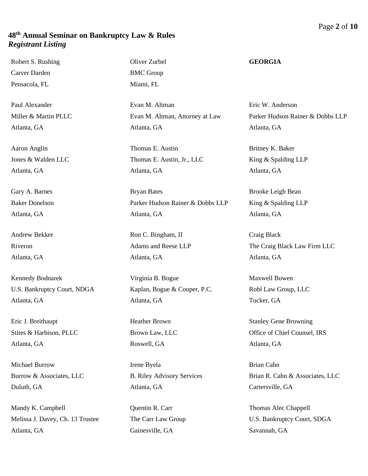Robert S. Rushing Carver Darden Pensacola, FL

Paul Alexander Miller & Martin PLLC Atlanta, GA

Aaron Anglin Jones & Walden LLC Atlanta, GA

Gary A. Barnes Baker Donelson Atlanta, GA

Andrew Bekker Riveron Atlanta, GA

Kennedy Bodnarek U.S. Bankruptcy Court, NDGA Atlanta, GA

Eric J. Breithaupt Stites & Harbison, PLLC Atlanta, GA

Michael Burrow Burrow & Associates, LLC Duluth, GA

Mandy K. Campbell Melissa J. Davey, Ch. 13 Trustee Atlanta, GA

Oliver Zurbel BMC Group Miami, FL

Evan M. Altman Evan M. Altman, Attorney at Law Atlanta, GA

Thomas E. Austin Thomas E. Austin, Jr., LLC Atlanta, GA

Bryan Bates Parker Hudson Rainer & Dobbs LLP Atlanta, GA

Ron C. Bingham, II Adams and Reese LLP Atlanta, GA

Virginia B. Bogue Kaplan, Bogue & Cooper, P.C. Atlanta, GA

Heather Brown Brown Law, LLC Roswell, GA

Irene Byela B. Riley Advisory Services Atlanta, GA

Quentin R. Carr The Carr Law Group Gainesville, GA

### **GEORGIA**

Eric W. Anderson Parker Hudson Rainer & Dobbs LLP Atlanta, GA

Britney K. Baker King & Spalding LLP Atlanta, GA

Brooke Leigh Bean King & Spalding LLP Atlanta, GA

Craig Black The Craig Black Law Firm LLC Atlanta, GA

Maxwell Bowen Robl Law Group, LLC Tucker, GA

Stanley Gene Browning Office of Chief Counsel, IRS Atlanta, GA

Brian Cahn Brian R. Cahn & Associates, LLC Cartersville, GA

Thomas Alec Chappell U.S. Bankruptcy Court, SDGA Savannah, GA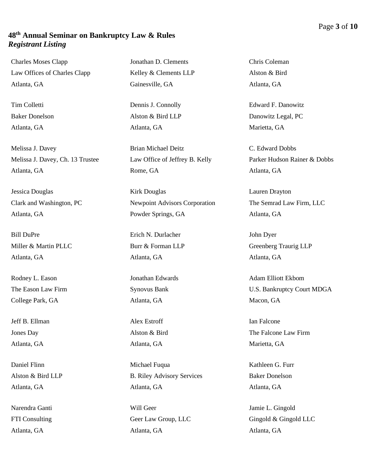Charles Moses Clapp Law Offices of Charles Clapp Atlanta, GA

Tim Colletti Baker Donelson Atlanta, GA

Melissa J. Davey Melissa J. Davey, Ch. 13 Trustee Atlanta, GA

Jessica Douglas Clark and Washington, PC Atlanta, GA

Bill DuPre Miller & Martin PLLC Atlanta, GA

Rodney L. Eason The Eason Law Firm College Park, GA

Jeff B. Ellman Jones Day Atlanta, GA

Daniel Flinn Alston & Bird LLP Atlanta, GA

Narendra Ganti FTI Consulting Atlanta, GA

Jonathan D. Clements Kelley & Clements LLP Gainesville, GA

Dennis J. Connolly Alston & Bird LLP Atlanta, GA

Brian Michael Deitz Law Office of Jeffrey B. Kelly Rome, GA

Kirk Douglas Newpoint Advisors Corporation Powder Springs, GA

Erich N. Durlacher Burr & Forman LLP Atlanta, GA

Jonathan Edwards Synovus Bank Atlanta, GA

Alex Estroff Alston & Bird Atlanta, GA

Michael Fuqua B. Riley Advisory Services Atlanta, GA

Will Geer Geer Law Group, LLC Atlanta, GA

Chris Coleman Alston & Bird Atlanta, GA

Edward F. Danowitz Danowitz Legal, PC Marietta, GA

C. Edward Dobbs Parker Hudson Rainer & Dobbs Atlanta, GA

Lauren Drayton The Semrad Law Firm, LLC Atlanta, GA

John Dyer Greenberg Traurig LLP Atlanta, GA

Adam Elliott Ekbom U.S. Bankruptcy Court MDGA Macon, GA

Ian Falcone The Falcone Law Firm Marietta, GA

Kathleen G. Furr Baker Donelson Atlanta, GA

Jamie L. Gingold Gingold & Gingold LLC Atlanta, GA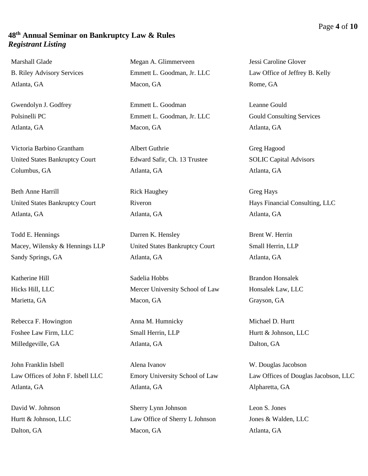Marshall Glade B. Riley Advisory Services Atlanta, GA

Gwendolyn J. Godfrey Polsinelli PC Atlanta, GA

Victoria Barbino Grantham United States Bankruptcy Court Columbus, GA

Beth Anne Harrill United States Bankruptcy Court Atlanta, GA

Todd E. Hennings Macey, Wilensky & Hennings LLP Sandy Springs, GA

Katherine Hill Hicks Hill, LLC Marietta, GA

Rebecca F. Howington Foshee Law Firm, LLC Milledgeville, GA

John Franklin Isbell Law Offices of John F. Isbell LLC Atlanta, GA

David W. Johnson Hurtt & Johnson, LLC Dalton, GA

Megan A. Glimmerveen Emmett L. Goodman, Jr. LLC Macon, GA

Emmett L. Goodman Emmett L. Goodman, Jr. LLC Macon, GA

Albert Guthrie Edward Safir, Ch. 13 Trustee Atlanta, GA

Rick Haughey Riveron Atlanta, GA

Darren K. Hensley United States Bankruptcy Court Atlanta, GA

Sadelia Hobbs Mercer University School of Law Macon, GA

Anna M. Humnicky Small Herrin, LLP Atlanta, GA

Alena Ivanov Emory University School of Law Atlanta, GA

Sherry Lynn Johnson Law Office of Sherry L Johnson Macon, GA

Jessi Caroline Glover Law Office of Jeffrey B. Kelly Rome, GA

Leanne Gould Gould Consulting Services Atlanta, GA

Greg Hagood SOLIC Capital Advisors Atlanta, GA

Greg Hays Hays Financial Consulting, LLC Atlanta, GA

Brent W. Herrin Small Herrin, LLP Atlanta, GA

Brandon Honsalek Honsalek Law, LLC Grayson, GA

Michael D. Hurtt Hurtt & Johnson, LLC Dalton, GA

W. Douglas Jacobson Law Offices of Douglas Jacobson, LLC Alpharetta, GA

Leon S. Jones Jones & Walden, LLC Atlanta, GA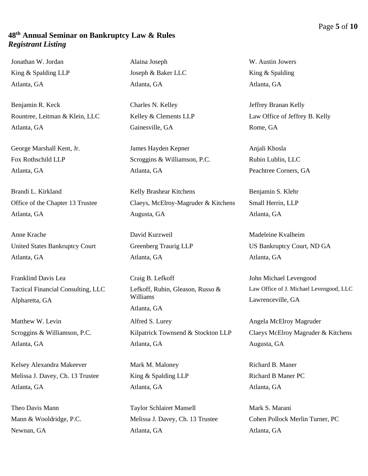Jonathan W. Jordan King & Spalding LLP Atlanta, GA

Benjamin R. Keck Rountree, Leitman & Klein, LLC Atlanta, GA

George Marshall Kent, Jr. Fox Rothschild LLP Atlanta, GA

Brandi L. Kirkland Office of the Chapter 13 Trustee Atlanta, GA

Anne Krache United States Bankruptcy Court Atlanta, GA

Franklind Davis Lea Tactical Financial Consulting, LLC Alpharetta, GA

Matthew W. Levin Scroggins & Williamson, P.C. Atlanta, GA

Kelsey Alexandra Makeever Melissa J. Davey, Ch. 13 Trustee Atlanta, GA

Theo Davis Mann Mann & Wooldridge, P.C. Newnan, GA

Alaina Joseph Joseph & Baker LLC Atlanta, GA

Charles N. Kelley Kelley & Clements LLP Gainesville, GA

James Hayden Kepner Scroggins & Williamson, P.C. Atlanta, GA

Kelly Brashear Kitchens Claeys, McElroy-Magruder & Kitchens Augusta, GA

David Kurzweil Greenberg Traurig LLP Atlanta, GA

Craig B. Lefkoff Lefkoff, Rubin, Gleason, Russo & Williams Atlanta, GA Alfred S. Lurey Kilpatrick Townsend & Stockton LLP Atlanta, GA

Mark M. Maloney King & Spalding LLP Atlanta, GA

Taylor Schlairet Mansell Melissa J. Davey, Ch. 13 Trustee Atlanta, GA

W. Austin Jowers King & Spalding Atlanta, GA

Jeffrey Branan Kelly Law Office of Jeffrey B. Kelly Rome, GA

Anjali Khosla Rubin Lublin, LLC Peachtree Corners, GA

Benjamin S. Klehr Small Herrin, LLP Atlanta, GA

Madeleine Kvalheim US Bankruptcy Court, ND GA Atlanta, GA

John Michael Levengood Law Office of J. Michael Levengood, LLC Lawrenceville, GA

Angela McElroy Magruder Claeys McElroy Magruder & Kitchens Augusta, GA

Richard B. Maner Richard B Maner PC Atlanta, GA

Mark S. Marani Cohen Pollock Merlin Turner, PC Atlanta, GA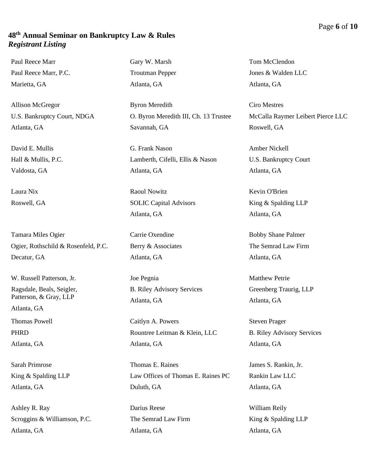Paul Reece Marr Paul Reece Marr, P.C. Marietta, GA

Allison McGregor U.S. Bankruptcy Court, NDGA Atlanta, GA

David E. Mullis Hall & Mullis, P.C. Valdosta, GA

Laura Nix Roswell, GA

Tamara Miles Ogier Ogier, Rothschild & Rosenfeld, P.C. Decatur, GA

W. Russell Patterson, Jr. Ragsdale, Beals, Seigler, Patterson, & Gray, LLP

Atlanta, GA

Thomas Powell PHRD

Atlanta, GA

Sarah Primrose King & Spalding LLP Atlanta, GA

Ashley R. Ray Scroggins & Williamson, P.C. Atlanta, GA

Gary W. Marsh Troutman Pepper Atlanta, GA

Byron Meredith O. Byron Meredith III, Ch. 13 Trustee Savannah, GA

G. Frank Nason Lamberth, Cifelli, Ellis & Nason Atlanta, GA

Raoul Nowitz SOLIC Capital Advisors Atlanta, GA

Carrie Oxendine Berry & Associates Atlanta, GA

Joe Pegnia B. Riley Advisory Services Atlanta, GA

Caitlyn A. Powers Rountree Leitman & Klein, LLC Atlanta, GA

Thomas E. Raines Law Offices of Thomas E. Raines PC Duluth, GA

Darius Reese The Semrad Law Firm Atlanta, GA

Tom McClendon Jones & Walden LLC Atlanta, GA

Ciro Mestres McCalla Raymer Leibert Pierce LLC Roswell, GA

Amber Nickell U.S. Bankruptcy Court Atlanta, GA

Kevin O'Brien King & Spalding LLP Atlanta, GA

Bobby Shane Palmer The Semrad Law Firm Atlanta, GA

Matthew Petrie Greenberg Traurig, LLP Atlanta, GA

Steven Prager B. Riley Advisory Services Atlanta, GA

James S. Rankin, Jr. Rankin Law LLC Atlanta, GA

William Reily King & Spalding LLP Atlanta, GA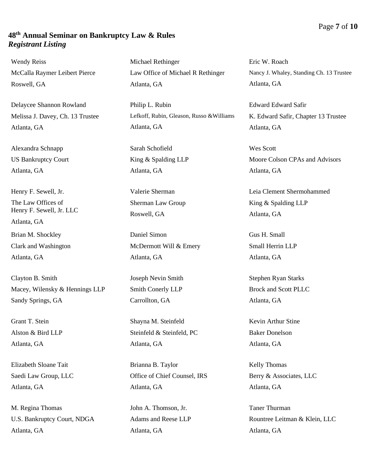Wendy Reiss McCalla Raymer Leibert Pierce Roswell, GA

Delaycee Shannon Rowland Melissa J. Davey, Ch. 13 Trustee Atlanta, GA

Alexandra Schnapp US Bankruptcy Court Atlanta, GA

Henry F. Sewell, Jr. The Law Offices of Henry F. Sewell, Jr. LLC Atlanta, GA Brian M. Shockley Clark and Washington Atlanta, GA

Clayton B. Smith Macey, Wilensky & Hennings LLP Sandy Springs, GA

Grant T. Stein Alston & Bird LLP Atlanta, GA

Elizabeth Sloane Tait Saedi Law Group, LLC Atlanta, GA

M. Regina Thomas U.S. Bankruptcy Court, NDGA Atlanta, GA

Michael Rethinger Law Office of Michael R Rethinger Atlanta, GA

Philip L. Rubin Lefkoff, Rubin, Gleason, Russo &Williams Atlanta, GA

Sarah Schofield King & Spalding LLP Atlanta, GA

Valerie Sherman Sherman Law Group Roswell, GA

Daniel Simon McDermott Will & Emery Atlanta, GA

Joseph Nevin Smith Smith Conerly LLP Carrollton, GA

Shayna M. Steinfeld Steinfeld & Steinfeld, PC Atlanta, GA

Brianna B. Taylor Office of Chief Counsel, IRS Atlanta, GA

John A. Thomson, Jr. Adams and Reese LLP Atlanta, GA

Eric W. Roach Nancy J. Whaley, Standing Ch. 13 Trustee Atlanta, GA

Edward Edward Safir K. Edward Safir, Chapter 13 Trustee Atlanta, GA

Wes Scott Moore Colson CPAs and Advisors Atlanta, GA

Leia Clement Shermohammed King & Spalding LLP Atlanta, GA

Gus H. Small Small Herrin LLP Atlanta, GA

Stephen Ryan Starks Brock and Scott PLLC Atlanta, GA

Kevin Arthur Stine Baker Donelson Atlanta, GA

Kelly Thomas Berry & Associates, LLC Atlanta, GA

Taner Thurman Rountree Leitman & Klein, LLC Atlanta, GA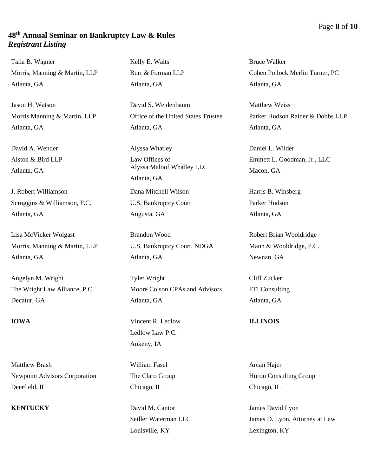Talia B. Wagner Morris, Manning & Martin, LLP Atlanta, GA

Jason H. Watson Morris Manning & Martin, LLP Atlanta, GA

David A. Wender Alston & Bird LLP Atlanta, GA

J. Robert Williamson Scroggins & Williamson, P.C. Atlanta, GA

Lisa McVicker Wolgast Morris, Manning & Martin, LLP Atlanta, GA

Angelyn M. Wright The Wright Law Alliance, P.C. Decatur, GA

Matthew Brash Newpoint Advisors Corporation Deerfield, IL

Kelly E. Waits Burr & Forman LLP Atlanta, GA

David S. Weidenbaum Office of the United States Trustee Atlanta, GA

Alyssa Whatley Law Offices of Alyssa Maloof Whatley LLC Atlanta, GA Dana Mitchell Wilson U.S. Bankruptcy Court Augusta, GA

Brandon Wood U.S. Bankruptcy Court, NDGA Atlanta, GA

Tyler Wright Moore Colson CPAs and Advisors Atlanta, GA

**IOWA** Vincent R. Ledlow Ledlow Law P.C. Ankeny, IA

> William Fasel The Claro Group Chicago, IL

**KENTUCKY** David M. Cantor Seiller Waterman LLC Louisville, KY

Bruce Walker Cohen Pollock Merlin Turner, PC Atlanta, GA

Matthew Weiss Parker Hudson Rainer & Dobbs LLP Atlanta, GA

Daniel L. Wilder Emmett L. Goodman, Jr., LLC Macon, GA

Harris B. Winsberg Parker Hudson Atlanta, GA

Robert Brian Wooldridge Mann & Wooldridge, P.C. Newnan, GA

Cliff Zucker FTI Consulting Atlanta, GA

### **ILLINOIS**

Arcan Hajer Huron Consulting Group Chicago, IL

James David Lyon James D. Lyon, Attorney at Law Lexington, KY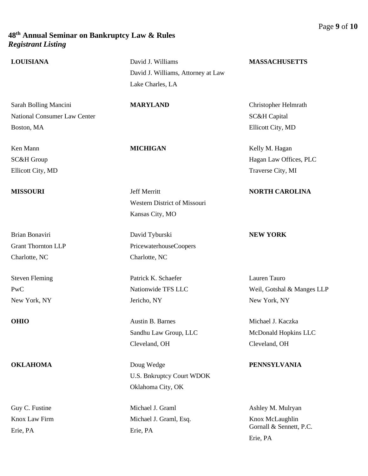| <b>LOUISIANA</b>                    | David J. Williams                   | <b>MASSACHUSETTS</b>       |
|-------------------------------------|-------------------------------------|----------------------------|
|                                     | David J. Williams, Attorney at Law  |                            |
|                                     | Lake Charles, LA                    |                            |
| Sarah Bolling Mancini               | <b>MARYLAND</b>                     | Christopher Helmrath       |
| <b>National Consumer Law Center</b> |                                     | <b>SC&amp;H</b> Capital    |
| Boston, MA                          |                                     | Ellicott City, MD          |
| Ken Mann                            | <b>MICHIGAN</b>                     | Kelly M. Hagan             |
| SC&H Group                          |                                     | Hagan Law Offices, PLC     |
| Ellicott City, MD                   |                                     | Traverse City, MI          |
| <b>MISSOURI</b>                     | Jeff Merritt                        | <b>NORTH CAROLINA</b>      |
|                                     | <b>Western District of Missouri</b> |                            |
|                                     | Kansas City, MO                     |                            |
| Brian Bonaviri                      | David Tyburski                      | <b>NEW YORK</b>            |
| <b>Grant Thornton LLP</b>           | PricewaterhouseCoopers              |                            |
| Charlotte, NC                       | Charlotte, NC                       |                            |
| <b>Steven Fleming</b>               | Patrick K. Schaefer                 | Lauren Tauro               |
| PwC                                 | Nationwide TFS LLC                  | Weil, Gotshal & Manges LLP |
| New York, NY                        | Jericho, NY                         | New York, NY               |
| <b>OHIO</b>                         | Austin B. Barnes                    | Michael J. Kaczka          |
|                                     | Sandhu Law Group, LLC               | McDonald Hopkins LLC       |
|                                     | Cleveland, OH                       | Cleveland, OH              |
| <b>OKLAHOMA</b>                     | Doug Wedge                          | <b>PENNSYLVANIA</b>        |
|                                     | <b>U.S. Bnkruptcy Court WDOK</b>    |                            |
|                                     | Oklahoma City, OK                   |                            |
| Guy C. Fustine                      | Michael J. Graml                    | Ashley M. Mulryan          |
| Knox Law Firm                       | Michael J. Graml, Esq.              | Knox McLaughlin            |
| Erie, PA                            | Erie, PA                            | Gornall & Sennett, P.C.    |
|                                     |                                     | Erie, PA                   |